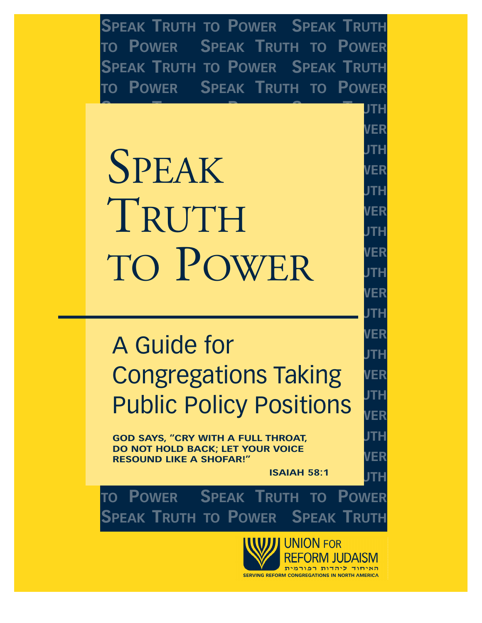**SPEAK TRUTH TO POWER SPEAK TRUTH TO POWER SPEAK TRUTH TO POWER SPEAK TRUTH TO POWER SPEAK TRUTH TO POWER SPEAK TRUTH TO POWER**

**SPEAK TRUTH TO POWER SPEAK TRUTH**

**TO POWER SPEAK TRUTH TO POWER**

**SPEAK TRUTH TO POWER SPEAK TRUTH TO POWER SPEAK TRUTH TO POWER SPEAK TRUTH TO POWER SPEAK TRUTH TO POWER SPEAK TRUTH TO POWER**  $T$ **RUTH**TOPIC **TO POWER SPEAK TRUTH TO POWER**  $\blacksquare$  **LO LOWER** STE **TO POWER SPEAK TRUTH TO POWER** SPEAK TO POWER

## **TO POWER SPEAK TRUTH TO POWER SPEAKER A Guide for SPEAK TOOP CONGREGATIONS TAKING SPEAK TRUTH TO POWER SPEAK TRUTH Public Policy Positions**

**SPEAK TRUTH TO POWER SPEAK TRUTH**

**SPEAKERS SPEAKS**, "CRY WITH A FULL THROAT, THE STEAK **TO NOT HOLD BACK; LET YOUR VOICE**<br>RESOUND LIKE A SHOFAR!" **DO NOT HOLD BACK; LET YOUR VOICE**

**SPEAK TRUTH TO POWER SPEAK TRUTH ISAIAH 58:1**

**TO POWER SPEAK TRUTH TO POWER SPEAK TRUTH TO POWER SPEAK TRUTH**

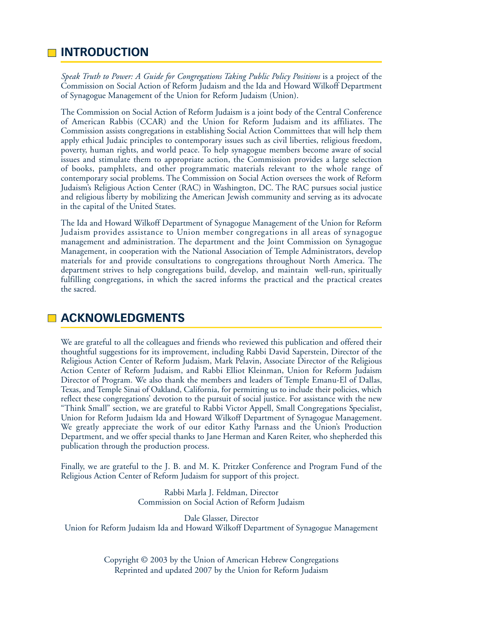## **INTRODUCTION**

*Speak Truth to Power: A Guide for Congregations Taking Public Policy Positions* is a project of the Commission on Social Action of Reform Judaism and the Ida and Howard Wilkoff Department of Synagogue Management of the Union for Reform Judaism (Union).

The Commission on Social Action of Reform Judaism is a joint body of the Central Conference of American Rabbis (CCAR) and the Union for Reform Judaism and its affiliates. The Commission assists congregations in establishing Social Action Committees that will help them apply ethical Judaic principles to contemporary issues such as civil liberties, religious freedom, poverty, human rights, and world peace. To help synagogue members become aware of social issues and stimulate them to appropriate action, the Commission provides a large selection of books, pamphlets, and other programmatic materials relevant to the whole range of contemporary social problems. The Commission on Social Action oversees the work of Reform Judaism's Religious Action Center (RAC) in Washington, DC. The RAC pursues social justice and religious liberty by mobilizing the American Jewish community and serving as its advocate in the capital of the United States.

The Ida and Howard Wilkoff Department of Synagogue Management of the Union for Reform Judaism provides assistance to Union member congregations in all areas of synagogue management and administration. The department and the Joint Commission on Synagogue Management, in cooperation with the National Association of Temple Administrators, develop materials for and provide consultations to congregations throughout North America. The department strives to help congregations build, develop, and maintain well-run, spiritually fulfilling congregations, in which the sacred informs the practical and the practical creates the sacred.

## **ACKNOWLEDGMENTS**

We are grateful to all the colleagues and friends who reviewed this publication and offered their thoughtful suggestions for its improvement, including Rabbi David Saperstein, Director of the Religious Action Center of Reform Judaism, Mark Pelavin, Associate Director of the Religious Action Center of Reform Judaism, and Rabbi Elliot Kleinman, Union for Reform Judaism Director of Program. We also thank the members and leaders of Temple Emanu-El of Dallas, Texas, and Temple Sinai of Oakland, California, for permitting us to include their policies, which reflect these congregations' devotion to the pursuit of social justice. For assistance with the new "Think Small" section, we are grateful to Rabbi Victor Appell, Small Congregations Specialist, Union for Reform Judaism Ida and Howard Wilkoff Department of Synagogue Management. We greatly appreciate the work of our editor Kathy Parnass and the Union's Production Department, and we offer special thanks to Jane Herman and Karen Reiter, who shepherded this publication through the production process.

Finally, we are grateful to the J. B. and M. K. Pritzker Conference and Program Fund of the Religious Action Center of Reform Judaism for support of this project.

> Rabbi Marla J. Feldman, Director Commission on Social Action of Reform Judaism

Dale Glasser, Director Union for Reform Judaism Ida and Howard Wilkoff Department of Synagogue Management

> Copyright © 2003 by the Union of American Hebrew Congregations Reprinted and updated 2007 by the Union for Reform Judaism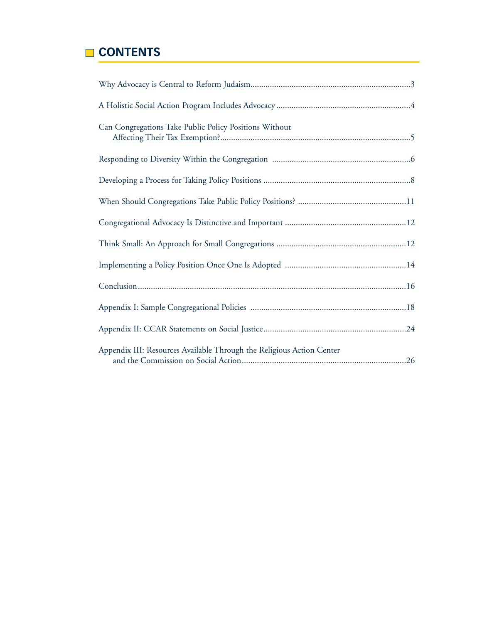## **CONTENTS**

| Can Congregations Take Public Policy Positions Without                |
|-----------------------------------------------------------------------|
|                                                                       |
|                                                                       |
|                                                                       |
|                                                                       |
|                                                                       |
|                                                                       |
|                                                                       |
|                                                                       |
|                                                                       |
| Appendix III: Resources Available Through the Religious Action Center |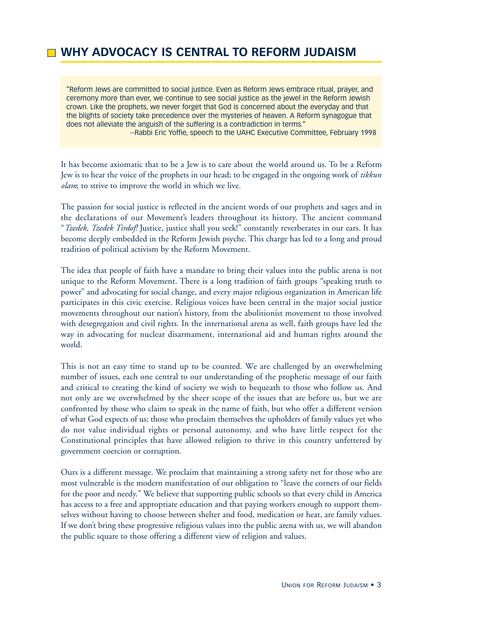## **WHY ADVOCACY IS CENTRAL TO REFORM JUDAISM**

"Reform Jews are committed to social justice. Even as Reform Jews embrace ritual, prayer, and ceremony more than ever, we continue to see social justice as the jewel in the Reform Jewish crown. Like the prophets, we never forget that God is concerned about the everyday and that the blights of society take precedence over the mysteries of heaven. A Reform synagogue that does not alleviate the anguish of the suffering is a contradiction in terms."

--Rabbi Eric Yoffie, speech to the UAHC Executive Committee, February 1998

It has become axiomatic that to be a Jew is to care about the world around us. To be a Reform Jew is to hear the voice of the prophets in our head; to be engaged in the ongoing work of *tikkun olam*; to strive to improve the world in which we live.

The passion for social justice is reflected in the ancient words of our prophets and sages and in the declarations of our Movement's leaders throughout its history. The ancient command "*Tzedek, Tzedek Tirdof!* Justice, justice shall you seek!" constantly reverberates in our ears. It has become deeply embedded in the Reform Jewish psyche. This charge has led to a long and proud tradition of political activism by the Reform Movement.

The idea that people of faith have a mandate to bring their values into the public arena is not unique to the Reform Movement. There is a long tradition of faith groups "speaking truth to power" and advocating for social change, and every major religious organization in American life participates in this civic exercise. Religious voices have been central in the major social justice movements throughout our nation's history, from the abolitionist movement to those involved with desegregation and civil rights. In the international arena as well, faith groups have led the way in advocating for nuclear disarmament, international aid and human rights around the world.

This is not an easy time to stand up to be counted. We are challenged by an overwhelming number of issues, each one central to our understanding of the prophetic message of our faith and critical to creating the kind of society we wish to bequeath to those who follow us. And not only are we overwhelmed by the sheer scope of the issues that are before us, but we are confronted by those who claim to speak in the name of faith, but who offer a different version of what God expects of us; those who proclaim themselves the upholders of family values yet who do not value individual rights or personal autonomy, and who have little respect for the Constitutional principles that have allowed religion to thrive in this country unfettered by government coercion or corruption.

Ours is a different message. We proclaim that maintaining a strong safety net for those who are most vulnerable is the modern manifestation of our obligation to "leave the corners of our fields for the poor and needy." We believe that supporting public schools so that every child in America has access to a free and appropriate education and that paying workers enough to support themselves without having to choose between shelter and food, medication or heat, are family values. If we don't bring these progressive religious values into the public arena with us, we will abandon the public square to those offering a different view of religion and values.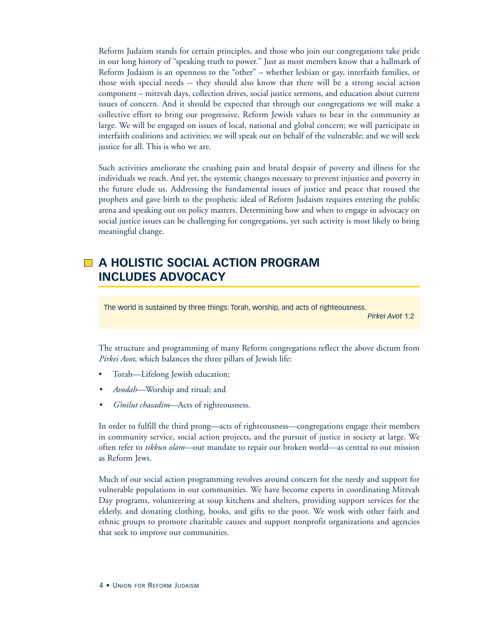Reform Judaism stands for certain principles, and those who join our congregations take pride in our long history of "speaking truth to power." Just as most members know that a hallmark of Reform Judaism is an openness to the "other" – whether lesbian or gay, interfaith families, or those with special needs -- they should also know that there will be a strong social action component – mitzvah days, collection drives, social justice sermons, and education about current issues of concern. And it should be expected that through our congregations we will make a collective effort to bring our progressive, Reform Jewish values to bear in the community at large. We will be engaged on issues of local, national and global concern; we will participate in interfaith coalitions and activities; we will speak out on behalf of the vulnerable; and we will seek justice for all. This is who we are.

Such activities ameliorate the crushing pain and brutal despair of poverty and illness for the individuals we reach. And yet, the systemic changes necessary to prevent injustice and poverty in the future elude us. Addressing the fundamental issues of justice and peace that roused the prophets and gave birth to the prophetic ideal of Reform Judaism requires entering the public arena and speaking out on policy matters. Determining how and when to engage in advocacy on social justice issues can be challenging for congregations, yet such activity is most likely to bring meaningful change.

## **A HOLISTIC SOCIAL ACTION PROGRAM INCLUDES ADVOCACY**

The world is sustained by three things: Torah, worship, and acts of righteousness.

*Pirkei Avot* 1:2

The structure and programming of many Reform congregations reflect the above dictum from *Pirkei Avot*, which balances the three pillars of Jewish life:

- Torah—Lifelong Jewish education;
- *• Avodah—*Worship and ritual; and
- *• G'milut chasadim*—Acts of righteousness.

In order to fulfill the third prong—acts of righteousness—congregations engage their members in community service, social action projects, and the pursuit of justice in society at large. We often refer to *tikkun olam—*our mandate to repair our broken world—as central to our mission as Reform Jews.

Much of our social action programming revolves around concern for the needy and support for vulnerable populations in our communities. We have become experts in coordinating Mitzvah Day programs, volunteering at soup kitchens and shelters, providing support services for the elderly, and donating clothing, books, and gifts to the poor. We work with other faith and ethnic groups to promote charitable causes and support nonprofit organizations and agencies that seek to improve our communities.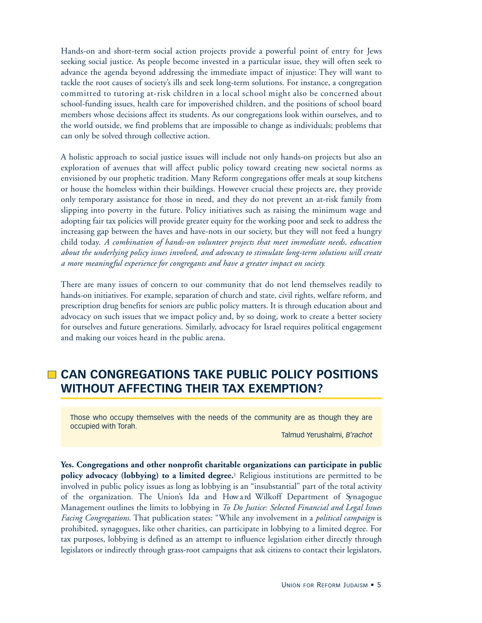Hands-on and short-term social action projects provide a powerful point of entry for Jews seeking social justice. As people become invested in a particular issue, they will often seek to advance the agenda beyond addressing the immediate impact of injustice: They will want to tackle the root causes of society's ills and seek long-term solutions. For instance, a congregation committed to tutoring at-risk children in a local school might also be concerned about school-funding issues, health care for impoverished children, and the positions of school board members whose decisions affect its students. As our congregations look within ourselves, and to the world outside, we find problems that are impossible to change as individuals; problems that can only be solved through collective action.

A holistic approach to social justice issues will include not only hands-on projects but also an exploration of avenues that will affect public policy toward creating new societal norms as envisioned by our prophetic tradition. Many Reform congregations offer meals at soup kitchens or house the homeless within their buildings. However crucial these projects are, they provide only temporary assistance for those in need, and they do not prevent an at-risk family from slipping into poverty in the future. Policy initiatives such as raising the minimum wage and adopting fair tax policies will provide greater equity for the working poor and seek to address the increasing gap between the haves and have-nots in our society, but they will not feed a hungry child today. *A combination of hands-on volunteer projects that meet immediate needs, education about the underlying policy issues involved, and advocacy to stimulate long-term solutions will create a more meaningful experience for congregants and have a greater impact on society.*

There are many issues of concern to our community that do not lend themselves readily to hands-on initiatives. For example, separation of church and state, civil rights, welfare reform, and prescription drug benefits for seniors are public policy matters. It is through education about and advocacy on such issues that we impact policy and, by so doing, work to create a better society for ourselves and future generations. Similarly, advocacy for Israel requires political engagement and making our voices heard in the public arena.

## **CAN CONGREGATIONS TAKE PUBLIC POLICY POSITIONS WITHOUT AFFECTING THEIR TAX EXEMPTION?**

Those who occupy themselves with the needs of the community are as though they are occupied with Torah.

Talmud Yerushalmi, *B'rachot*

**Yes. Congregations and other nonprofit charitable organizations can participate in public policy advocacy (lobbying) to a limited degree.**<sup>1</sup> Religious institutions are permitted to be involved in public policy issues as long as lobbying is an "insubstantial" part of the total activity of the organization. The Union's Ida and How and Wilkoff Department of Synagogue Management outlines the limits to lobbying in *To Do Justice: Selected Financial and Legal Issues Facing Congregations*. That publication states: "While any involvement in a *political campaign* is prohibited, synagogues, like other charities, can participate in lobbying to a limited degree. For tax purposes, lobbying is defined as an attempt to influence legislation either directly through legislators or indirectly through grass-root campaigns that ask citizens to contact their legislators.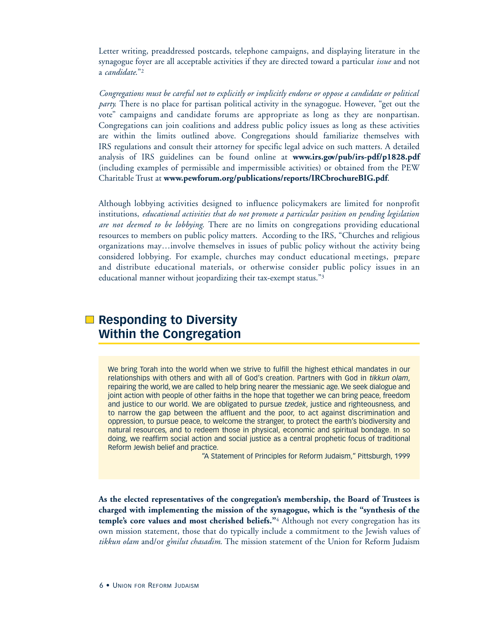Letter writing, preaddressed postcards, telephone campaigns, and displaying literature in the synagogue foyer are all acceptable activities if they are directed toward a particular *issue* and not a *candidate*."2

*Congregations must be careful not to explicitly or implicitly endorse or oppose a candidate or political party.* There is no place for partisan political activity in the synagogue. However, "get out the vote" campaigns and candidate forums are appropriate as long as they are nonpartisan. Congregations can join coalitions and address public policy issues as long as these activities are within the limits outlined above. Congregations should familiarize themselves with IRS regulations and consult their attorney for specific legal advice on such matters. A detailed analysis of IRS guidelines can be found online at www.irs.gov/pub/irs-pdf/p1828.pdf (including examples of permissible and impermissible activities) or obtained from the PEW Charitable Trust at **www.pewforum.org/publications/reports/IRCbrochureBIG.pdf**.

Although lobbying activities designed to influence policymakers are limited for nonprofit institutions, *educational activities that do not promote a particular position on pending legislation are not deemed to be lobbying*. There are no limits on congregations providing educational resources to members on public policy matters. According to the IRS, "Churches and religious organizations may…involve themselves in issues of public policy without the activity being considered lobbying. For example, churches may conduct educational meetings, prepare and distribute educational materials, or otherwise consider public policy issues in an educational manner without jeopardizing their tax-exempt status."3

## **■ Responding to Diversity Within the Congregation**

We bring Torah into the world when we strive to fulfill the highest ethical mandates in our relationships with others and with all of God's creation. Partners with God in *tikkun olam*, repairing the world, we are called to help bring nearer the messianic age. We seek dialogue and joint action with people of other faiths in the hope that together we can bring peace, freedom and justice to our world. We are obligated to pursue *tzedek*, justice and righteousness, and to narrow the gap between the affluent and the poor, to act against discrimination and oppression, to pursue peace, to welcome the stranger, to protect the earth's biodiversity and natural resources, and to redeem those in physical, economic and spiritual bondage. In so doing, we reaffirm social action and social justice as a central prophetic focus of traditional Reform Jewish belief and practice.

"A Statement of Principles for Reform Judaism," Pittsburgh, 1999

**As the elected representatives of the congregation's membership, the Board of Trustees is charged with implementing the mission of the synagogue, which is the "synthesis of the temple's core values and most cherished beliefs."**<sup>4</sup> Although not every congregation has its own mission statement, those that do typically include a commitment to the Jewish values of *tikkun olam* and/or *g'milut chasadim*. The mission statement of the Union for Reform Judaism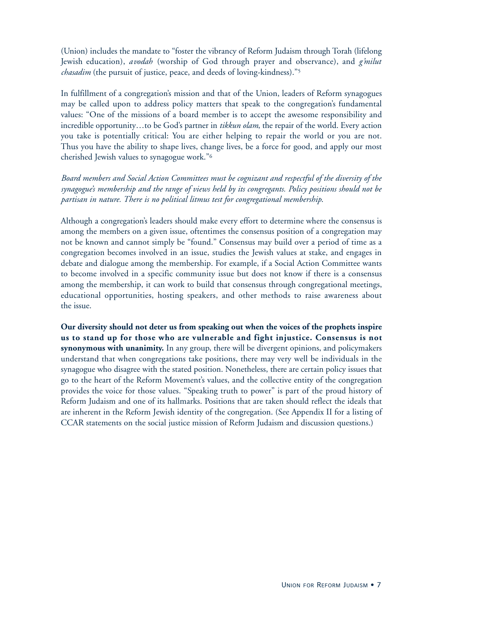(Union) includes the mandate to "foster the vibrancy of Reform Judaism through Torah (lifelong Jewish education), *avodah* (worship of God through prayer and observance), and *g'milut chasadim* (the pursuit of justice, peace, and deeds of loving-kindness)."5

In fulfillment of a congregation's mission and that of the Union, leaders of Reform synagogues may be called upon to address policy matters that speak to the congregation's fundamental values: "One of the missions of a board member is to accept the awesome responsibility and incredible opportunity…to be God's partner in *tikkun olam*, the repair of the world. Every action you take is potentially critical: You are either helping to repair the world or you are not. Thus you have the ability to shape lives, change lives, be a force for good, and apply our most cherished Jewish values to synagogue work."6

*Board members and Social Action Committees must be cognizant and respectful of the diversity of the synagogue's membership and the range of views held by its congregants. Policy positions should not be partisan in nature. There is no political litmus test for congregational membership*.

Although a congregation's leaders should make every effort to determine where the consensus is among the members on a given issue, oftentimes the consensus position of a congregation may not be known and cannot simply be "found." Consensus may build over a period of time as a congregation becomes involved in an issue, studies the Jewish values at stake, and engages in debate and dialogue among the membership. For example, if a Social Action Committee wants to become involved in a specific community issue but does not know if there is a consensus among the membership, it can work to build that consensus through congregational meetings, educational opportunities, hosting speakers, and other methods to raise awareness about the issue.

**Our diversity should not deter us from speaking out when the voices of the prophets inspire us to stand up for those who are vulnerable and fight injustice. Consensus is not synonymous with unanimity.** In any group, there will be divergent opinions, and policymakers understand that when congregations take positions, there may very well be individuals in the synagogue who disagree with the stated position. Nonetheless, there are certain policy issues that go to the heart of the Reform Movement's values, and the collective entity of the congregation provides the voice for those values. "Speaking truth to power" is part of the proud history of Reform Judaism and one of its hallmarks. Positions that are taken should reflect the ideals that are inherent in the Reform Jewish identity of the congregation. (See Appendix II for a listing of CCAR statements on the social justice mission of Reform Judaism and discussion questions.)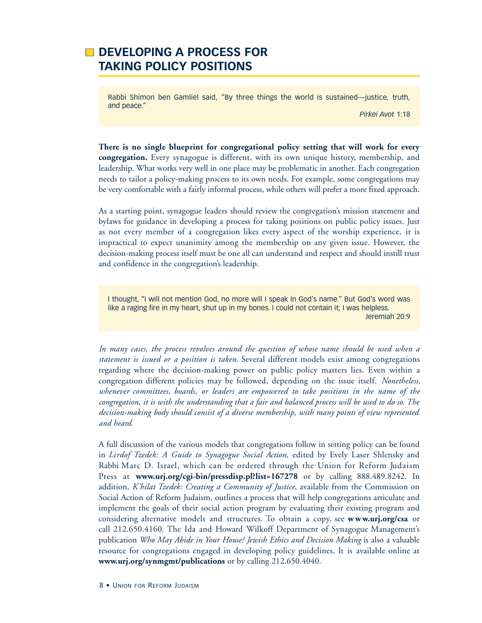## **DEVELOPING A PROCESS FOR TAKING POLICY POSITIONS**

Rabbi Shimon ben Gamliel said, "By three things the world is sustained—justice, truth, and peace."

*Pirkei Avot* 1:18

**There is no single blueprint for congregational policy setting that will work for every congregation.** Every synagogue is different, with its own unique history, membership, and leadership. What works very well in one place may be problematic in another. Each congregation needs to tailor a policy-making process to its own needs. For example, some congregations may be very comfortable with a fairly informal process, while others will prefer a more fixed approach.

As a starting point, synagogue leaders should review the congregation's mission statement and bylaws for guidance in developing a process for taking positions on public policy issues. Just as not every member of a congregation likes every aspect of the worship experience, it is impractical to expect unanimity among the membership on any given issue. However, the decision-making process itself must be one all can understand and respect and should instill trust and confidence in the congregation's leadership.

I thought, "I will not mention God, no more will I speak in God's name." But God's word was like a raging fire in my heart, shut up in my bones. I could not contain it; I was helpless. Jeremiah 20:9

*In many cases, the process revolves around the question of whose name should be used when a statement is issued or a position is taken*. Several different models exist among congregations regarding where the decision-making power on public policy matters lies. Even within a congregation different policies may be followed, depending on the issue itself. *Nonetheless, whenever committees, boards, or leaders are empowered to take positions in the name of the congregation, it is with the understanding that a fair and balanced process will be used to do so. The decision-making body should consist of a diverse membership, with many points of view represented and heard*.

A full discussion of the various models that congregations follow in setting policy can be found in *Lirdof Tzedek: A Guide to Synagogue Social Action,* edited by Evely Laser Shlensky and Rabbi Marc D. Israel, which can be ordered through the Union for Reform Judaism Press at **www.urj.org/cgi-bin/pressdisp.pl?list=167278** or by calling 888.489.8242. In addition, *K'hilat Tzedek: Creating a Community of Justice*, available from the Commission on Social Action of Reform Judaism, outlines a process that will help congregations articulate and implement the goals of their social action program by evaluating their existing program and considering alternative models and structures. To obtain a copy, see **www.urj.org/csa** or call 212.650.4160. The Ida and Howard Wilkoff Department of Synagogue Management's publication *Who May Abide in Your House? Jewish Ethics and Decision Making* is also a valuable resource for congregations engaged in developing policy guidelines. It is available online at **www.urj.org/synmgmt/publications** or by calling 212.650.4040.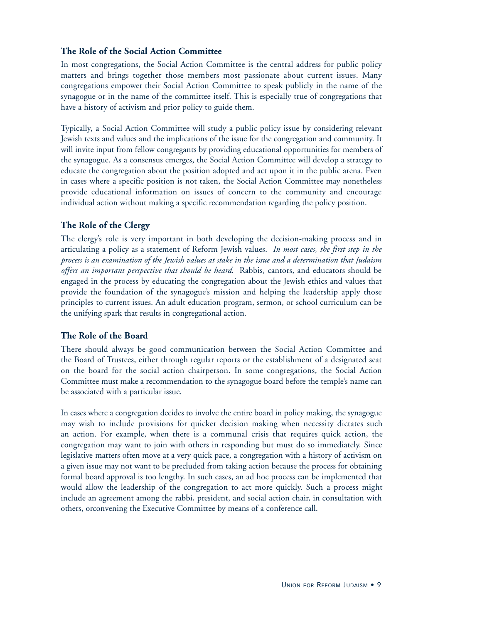#### **The Role of the Social Action Committee**

In most congregations, the Social Action Committee is the central address for public policy matters and brings together those members most passionate about current issues. Many congregations empower their Social Action Committee to speak publicly in the name of the synagogue or in the name of the committee itself. This is especially true of congregations that have a history of activism and prior policy to guide them.

Typically, a Social Action Committee will study a public policy issue by considering relevant Jewish texts and values and the implications of the issue for the congregation and community. It will invite input from fellow congregants by providing educational opportunities for members of the synagogue. As a consensus emerges, the Social Action Committee will develop a strategy to educate the congregation about the position adopted and act upon it in the public arena. Even in cases where a specific position is not taken, the Social Action Committee may nonetheless provide educational information on issues of concern to the community and encourage individual action without making a specific recommendation regarding the policy position.

#### **The Role of the Clergy**

The clergy's role is very important in both developing the decision-making process and in articulating a policy as a statement of Reform Jewish values. *In most cases, the first step in the process is an examination of the Jewish values at stake in the issue and a determination that Judaism offers an important perspective that should be heard*. Rabbis, cantors, and educators should be engaged in the process by educating the congregation about the Jewish ethics and values that provide the foundation of the synagogue's mission and helping the leadership apply those principles to current issues. An adult education program, sermon, or school curriculum can be the unifying spark that results in congregational action.

#### **The Role of the Board**

There should always be good communication between the Social Action Committee and the Board of Trustees, either through regular reports or the establishment of a designated seat on the board for the social action chairperson. In some congregations, the Social Action Committee must make a recommendation to the synagogue board before the temple's name can be associated with a particular issue.

In cases where a congregation decides to involve the entire board in policy making, the synagogue may wish to include provisions for quicker decision making when necessity dictates such an action. For example, when there is a communal crisis that requires quick action, the congregation may want to join with others in responding but must do so immediately. Since legislative matters often move at a very quick pace, a congregation with a history of activism on a given issue may not want to be precluded from taking action because the process for obtaining formal board approval is too lengthy. In such cases, an ad hoc process can be implemented that would allow the leadership of the congregation to act more quickly. Such a process might include an agreement among the rabbi, president, and social action chair, in consultation with others, orconvening the Executive Committee by means of a conference call.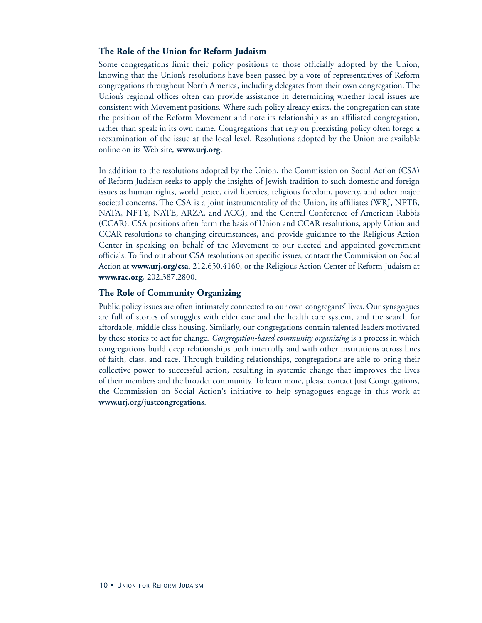#### **The Role of the Union for Reform Judaism**

Some congregations limit their policy positions to those officially adopted by the Union, knowing that the Union's resolutions have been passed by a vote of representatives of Reform congregations throughout North America, including delegates from their own congregation. The Union's regional offices often can provide assistance in determining whether local issues are consistent with Movement positions. Where such policy already exists, the congregation can state the position of the Reform Movement and note its relationship as an affiliated congregation, rather than speak in its own name. Congregations that rely on preexisting policy often forego a reexamination of the issue at the local level. Resolutions adopted by the Union are available online on its Web site, **www.urj.org**.

In addition to the resolutions adopted by the Union, the Commission on Social Action (CSA) of Reform Judaism seeks to apply the insights of Jewish tradition to such domestic and foreign issues as human rights, world peace, civil liberties, religious freedom, poverty, and other major societal concerns. The CSA is a joint instrumentality of the Union, its affiliates (WRJ, NFTB, NATA, NFTY, NATE, ARZA, and ACC), and the Central Conference of American Rabbis (CCAR). CSA positions often form the basis of Union and CCAR resolutions, apply Union and CCAR resolutions to changing circumstances, and provide guidance to the Religious Action Center in speaking on behalf of the Movement to our elected and appointed government officials. To find out about CSA resolutions on specific issues, contact the Commission on Social Action at **www.urj.org/csa**, 212.650.4160, or the Religious Action Center of Reform Judaism at **www.rac.org**, 202.387.2800.

#### **The Role of Community Organizing**

Public policy issues are often intimately connected to our own congregants' lives. Our synagogues are full of stories of struggles with elder care and the health care system, and the search for affordable, middle class housing. Similarly, our congregations contain talented leaders motivated by these stories to act for change. *Congregation-based community organizing* is a process in which congregations build deep relationships both internally and with other institutions across lines of faith, class, and race. Through building relationships, congregations are able to bring their collective power to successful action, resulting in systemic change that improves the lives of their members and the broader community. To learn more, please contact Just Congregations, the Commission on Social Action's initiative to help synagogues engage in this work at **www.urj.org/justcongregations**.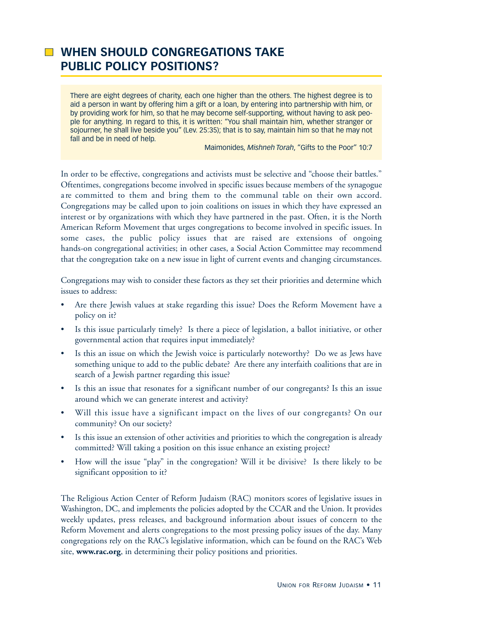## **WHEN SHOULD CONGREGATIONS TAKE PUBLIC POLICY POSITIONS?**

There are eight degrees of charity, each one higher than the others. The highest degree is to aid a person in want by offering him a gift or a loan, by entering into partnership with him, or by providing work for him, so that he may become self-supporting, without having to ask people for anything. In regard to this, it is written: "You shall maintain him, whether stranger or sojourner, he shall live beside you" (Lev. 25:35); that is to say, maintain him so that he may not fall and be in need of help.

Maimonides, *Mishneh Torah*, "Gifts to the Poor" 10:7

In order to be effective, congregations and activists must be selective and "choose their battles." Oftentimes, congregations become involved in specific issues because members of the synagogue are committed to them and bring them to the communal table on their own accord. Congregations may be called upon to join coalitions on issues in which they have expressed an interest or by organizations with which they have partnered in the past. Often, it is the North American Reform Movement that urges congregations to become involved in specific issues. In some cases, the public policy issues that are raised are extensions of ongoing hands-on congregational activities; in other cases, a Social Action Committee may recommend that the congregation take on a new issue in light of current events and changing circumstances.

Congregations may wish to consider these factors as they set their priorities and determine which issues to address:

- Are there Jewish values at stake regarding this issue? Does the Reform Movement have a policy on it?
- Is this issue particularly timely? Is there a piece of legislation, a ballot initiative, or other governmental action that requires input immediately?
- Is this an issue on which the Jewish voice is particularly noteworthy? Do we as Jews have something unique to add to the public debate? Are there any interfaith coalitions that are in search of a Jewish partner regarding this issue?
- Is this an issue that resonates for a significant number of our congregants? Is this an issue around which we can generate interest and activity?
- Will this issue have a significant impact on the lives of our congregants? On our community? On our society?
- Is this issue an extension of other activities and priorities to which the congregation is already committed? Will taking a position on this issue enhance an existing project?
- How will the issue "play" in the congregation? Will it be divisive? Is there likely to be significant opposition to it?

The Religious Action Center of Reform Judaism (RAC) monitors scores of legislative issues in Washington, DC, and implements the policies adopted by the CCAR and the Union. It provides weekly updates, press releases, and background information about issues of concern to the Reform Movement and alerts congregations to the most pressing policy issues of the day. Many congregations rely on the RAC's legislative information, which can be found on the RAC's Web site, **www.rac.org**, in determining their policy positions and priorities.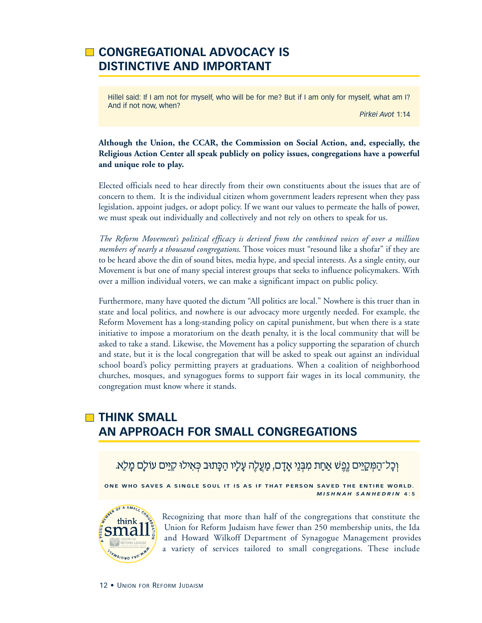## **CONGREGATIONAL ADVOCACY IS DISTINCTIVE AND IMPORTANT**

Hillel said: If I am not for myself, who will be for me? But if I am only for myself, what am I? And if not now, when?

*Pirkei Avot* 1:14

#### **Although the Union, the CCAR, the Commission on Social Action, and, especially, the Religious Action Center all speak publicly on policy issues, congregations have a powerful and unique role to play.**

Elected officials need to hear directly from their own constituents about the issues that are of concern to them. It is the individual citizen whom government leaders represent when they pass legislation, appoint judges, or adopt policy. If we want our values to permeate the halls of power, we must speak out individually and collectively and not rely on others to speak for us.

*The Reform Movement's political efficacy is derived from the combined voices of over a million members of nearly a thousand congregations*. Those voices must "resound like a shofar" if they are to be heard above the din of sound bites, media hype, and special interests. As a single entity, our Movement is but one of many special interest groups that seeks to influence policymakers. With over a million individual voters, we can make a significant impact on public policy.

Furthermore, many have quoted the dictum "All politics are local." Nowhere is this truer than in state and local politics, and nowhere is our advocacy more urgently needed. For example, the Reform Movement has a long-standing policy on capital punishment, but when there is a state initiative to impose a moratorium on the death penalty, it is the local community that will be asked to take a stand. Likewise, the Movement has a policy supporting the separation of church and state, but it is the local congregation that will be asked to speak out against an individual school board's policy permitting prayers at graduations. When a coalition of neighborhood churches, mosques, and synagogues forms to support fair wages in its local community, the congregation must know where it stands.

## **THINK SMALL AN APPROACH FOR SMALL CONGREGATIONS**

```
וְכָל־הַמְּקַיֵּים גֵפֵשׁ אֲחַת מִבְּנֵי אֲדָם, מַעֲלֶה עָלַיו הַכָּתוּב כְּאִילוּ קִיֵּים עוֹלַם מַלֶא.
```
ONE WHO SAVES A SINGLE SOUL IT IS AS IF THAT PERSON SAVED THE ENTIRE WORLD. *M I S H N A H S A N H E D R I N* **4 : 5**



Recognizing that more than half of the congregations that constitute the Union for Reform Judaism have fewer than 250 membership units, the Ida and Howard Wilkoff Department of Synagogue Management provides a variety of services tailored to small congregations. These include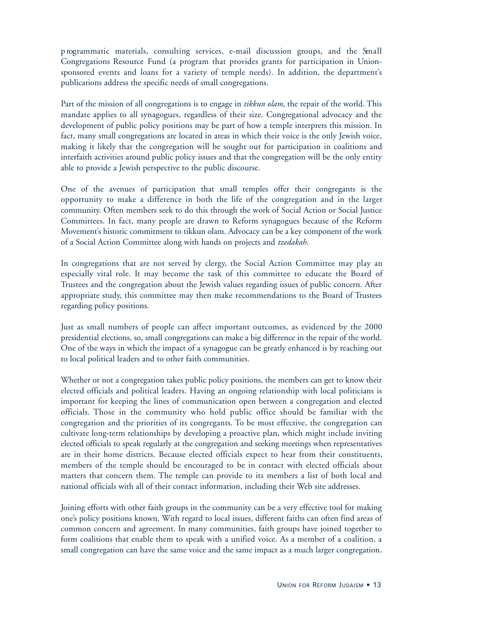p rogrammatic materials, consulting services, e-mail discussion groups, and the Small Congregations Resource Fund (a program that provides grants for participation in Unionsponsored events and loans for a variety of temple needs). In addition, the department's publications address the specific needs of small congregations.

Part of the mission of all congregations is to engage in *tikkun olam*, the repair of the world. This mandate applies to all synagogues, regardless of their size. Congregational advocacy and the development of public policy positions may be part of how a temple interprets this mission. In fact, many small congregations are located in areas in which their voice is the only Jewish voice, making it likely that the congregation will be sought out for participation in coalitions and interfaith activities around public policy issues and that the congregation will be the only entity able to provide a Jewish perspective to the public discourse.

One of the avenues of participation that small temples offer their congregants is the opportunity to make a difference in both the life of the congregation and in the larger community. Often members seek to do this through the work of Social Action or Social Justice Committees. In fact, many people are drawn to Reform synagogues because of the Reform Movement's historic commitment to tikkun olam. Advocacy can be a key component of the work of a Social Action Committee along with hands on projects and *tzedakah*.

In congregations that are not served by clergy, the Social Action Committee may play an especially vital role. It may become the task of this committee to educate the Board of Trustees and the congregation about the Jewish values regarding issues of public concern. After appropriate study, this committee may then make recommendations to the Board of Trustees regarding policy positions.

Just as small numbers of people can affect important outcomes, as evidenced by the 2000 presidential elections, so, small congregations can make a big difference in the repair of the world. One of the ways in which the impact of a synagogue can be greatly enhanced is by reaching out to local political leaders and to other faith communities.

Whether or not a congregation takes public policy positions, the members can get to know their elected officials and political leaders. Having an ongoing relationship with local politicians is important for keeping the lines of communication open between a congregation and elected officials. Those in the community who hold public office should be familiar with the congregation and the priorities of its congregants. To be most effective, the congregation can cultivate long-term relationships by developing a proactive plan, which might include inviting elected officials to speak regularly at the congregation and seeking meetings when representatives are in their home districts. Because elected officials expect to hear from their constituents, members of the temple should be encouraged to be in contact with elected officials about matters that concern them. The temple can provide to its members a list of both local and national officials with all of their contact information, including their Web site addresses.

Joining efforts with other faith groups in the community can be a very effective tool for making one's policy positions known. With regard to local issues, different faiths can often find areas of common concern and agreement. In many communities, faith groups have joined together to form coalitions that enable them to speak with a unified voice. As a member of a coalition, a small congregation can have the same voice and the same impact as a much larger congregation.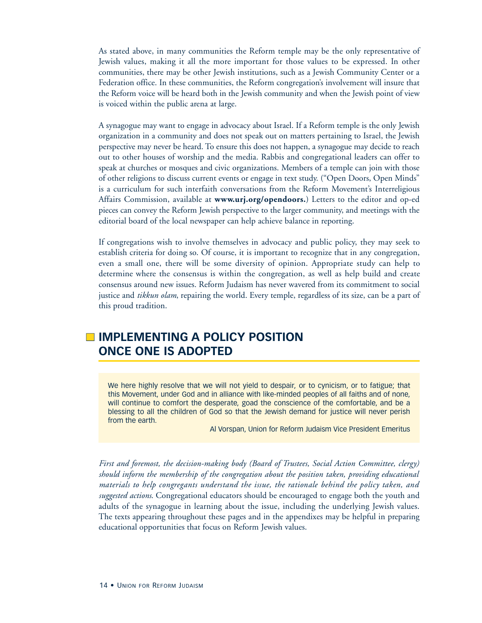As stated above, in many communities the Reform temple may be the only representative of Jewish values, making it all the more important for those values to be expressed. In other communities, there may be other Jewish institutions, such as a Jewish Community Center or a Federation office. In these communities, the Reform congregation's involvement will insure that the Reform voice will be heard both in the Jewish community and when the Jewish point of view is voiced within the public arena at large.

A synagogue may want to engage in advocacy about Israel. If a Reform temple is the only Jewish organization in a community and does not speak out on matters pertaining to Israel, the Jewish perspective may never be heard. To ensure this does not happen, a synagogue may decide to reach out to other houses of worship and the media. Rabbis and congregational leaders can offer to speak at churches or mosques and civic organizations. Members of a temple can join with those of other religions to discuss current events or engage in text study. ("Open Doors, Open Minds" is a curriculum for such interfaith conversations from the Reform Movement's Interreligious Affairs Commission, available at **www.urj.org/opendoors.**) Letters to the editor and op-ed pieces can convey the Reform Jewish perspective to the larger community, and meetings with the editorial board of the local newspaper can help achieve balance in reporting.

If congregations wish to involve themselves in advocacy and public policy, they may seek to establish criteria for doing so. Of course, it is important to recognize that in any congregation, even a small one, there will be some diversity of opinion. Appropriate study can help to determine where the consensus is within the congregation, as well as help build and create consensus around new issues. Reform Judaism has never wavered from its commitment to social justice and *tikkun olam*, repairing the world. Every temple, regardless of its size, can be a part of this proud tradition.

## **IMPLEMENTING A POLICY POSITION ONCE ONE IS ADOPTED**

We here highly resolve that we will not yield to despair, or to cynicism, or to fatigue; that this Movement, under God and in alliance with like-minded peoples of all faiths and of none, will continue to comfort the desperate, goad the conscience of the comfortable, and be a blessing to all the children of God so that the Jewish demand for justice will never perish from the earth.

Al Vorspan, Union for Reform Judaism Vice President Emeritus

*First and foremost, the decision-making body (Board of Trustees, Social Action Committee, clergy) should inform the membership of the congregation about the position taken, providing educational materials to help congregants understand the issue, the rationale behind the policy taken, and suggested actions*. Congregational educators should be encouraged to engage both the youth and adults of the synagogue in learning about the issue, including the underlying Jewish values. The texts appearing throughout these pages and in the appendixes may be helpful in preparing educational opportunities that focus on Reform Jewish values.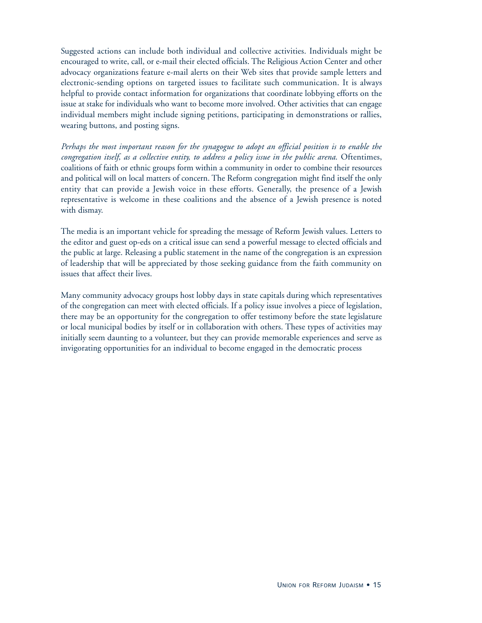Suggested actions can include both individual and collective activities. Individuals might be encouraged to write, call, or e-mail their elected officials. The Religious Action Center and other advocacy organizations feature e-mail alerts on their Web sites that provide sample letters and electronic-sending options on targeted issues to facilitate such communication. It is always helpful to provide contact information for organizations that coordinate lobbying efforts on the issue at stake for individuals who want to become more involved. Other activities that can engage individual members might include signing petitions, participating in demonstrations or rallies, wearing buttons, and posting signs.

*Perhaps the most important reason for the synagogue to adopt an official position is to enable the congregation itself, as a collective entity, to address a policy issue in the public arena*. Oftentimes, coalitions of faith or ethnic groups form within a community in order to combine their resources and political will on local matters of concern. The Reform congregation might find itself the only entity that can provide a Jewish voice in these efforts. Generally, the presence of a Jewish representative is welcome in these coalitions and the absence of a Jewish presence is noted with dismay.

The media is an important vehicle for spreading the message of Reform Jewish values. Letters to the editor and guest op-eds on a critical issue can send a powerful message to elected officials and the public at large. Releasing a public statement in the name of the congregation is an expression of leadership that will be appreciated by those seeking guidance from the faith community on issues that affect their lives.

Many community advocacy groups host lobby days in state capitals during which representatives of the congregation can meet with elected officials. If a policy issue involves a piece of legislation, there may be an opportunity for the congregation to offer testimony before the state legislature or local municipal bodies by itself or in collaboration with others. These types of activities may initially seem daunting to a volunteer, but they can provide memorable experiences and serve as invigorating opportunities for an individual to become engaged in the democratic process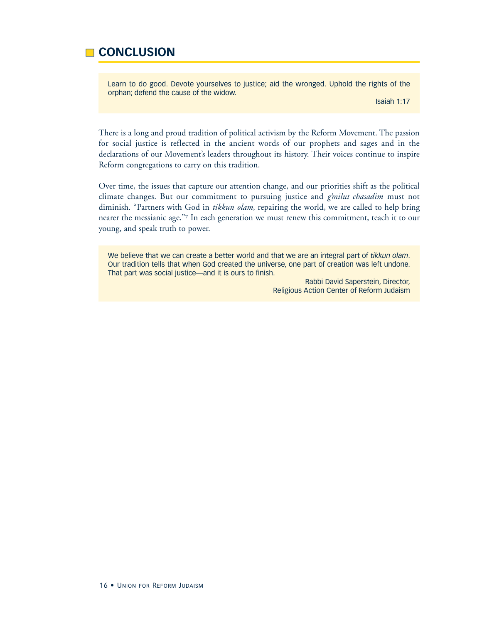## **CONCLUSION**

Learn to do good. Devote yourselves to justice; aid the wronged. Uphold the rights of the orphan; defend the cause of the widow.

Isaiah 1:17

There is a long and proud tradition of political activism by the Reform Movement. The passion for social justice is reflected in the ancient words of our prophets and sages and in the declarations of our Movement's leaders throughout its history. Their voices continue to inspire Reform congregations to carry on this tradition.

Over time, the issues that capture our attention change, and our priorities shift as the political climate changes. But our commitment to pursuing justice and *g'milut chasadim* must not diminish. "Partners with God in *tikkun olam*, repairing the world, we are called to help bring nearer the messianic age."7 In each generation we must renew this commitment, teach it to our young, and speak truth to power.

We believe that we can create a better world and that we are an integral part of *tikkun olam*. Our tradition tells that when God created the universe, one part of creation was left undone. That part was social justice—and it is ours to finish.

> Rabbi David Saperstein, Director, Religious Action Center of Reform Judaism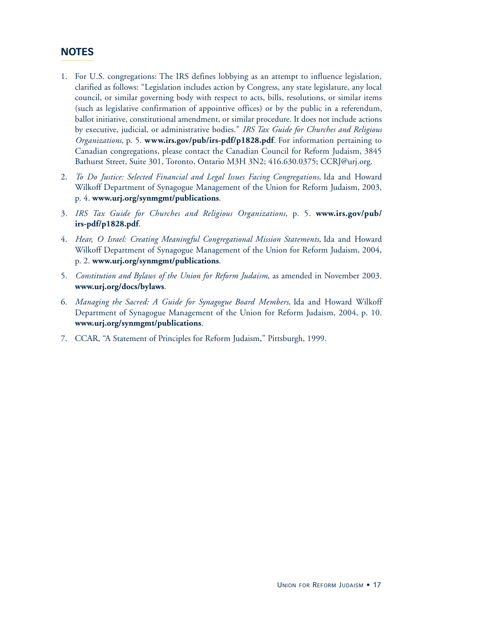### **NOTES**

- 1. For U.S. congregations: The IRS defines lobbying as an attempt to influence legislation, clarified as follows: "Legislation includes action by Congress, any state legislature, any local council, or similar governing body with respect to acts, bills, resolutions, or similar items (such as legislative confirmation of appointive offices) or by the public in a referendum, ballot initiative, constitutional amendment, or similar procedure. It does not include actions by executive, judicial, or administrative bodies." *IRS Tax Guide for Churches and Religious Organizations*, p. 5. **www.irs.gov/pub/irs-pdf/p1828.pdf**. For information pertaining to Canadian congregations, please contact the Canadian Council for Reform Judaism, 3845 Bathurst Street, Suite 301, Toronto, Ontario M3H 3N2; 416.630.0375; CCRJ@urj.org.
- 2. *To Do Justice: Selected Financial and Legal Issues Facing Congregations*, Ida and Howard Wilkoff Department of Synagogue Management of the Union for Reform Judaism, 2003, p. 4. **www.urj.org/synmgmt/publications**.
- 3 . *IRS Tax Guide for Churches and Religious Or g a n i z a t i o n s*, p. 5. **w w w. i r s . g ov / p u b / irs-pdf/p1828.pdf**.
- 4. *Hear, O Israel: Creating Meaningful Congregational Mission Statements*, Ida and Howard Wilkoff Department of Synagogue Management of the Union for Reform Judaism, 2004, p. 2. **www.urj.org/synmgmt/publications**.
- 5. *Constitution and Bylaws of the Union for Reform Judaism*, as amended in November 2003. **www.urj.org/docs/bylaws**.
- 6. *Managing the Sacred: A Guide for Synagogue Board Members*, Ida and Howard Wilkoff Department of Synagogue Management of the Union for Reform Judaism, 2004, p. 10. **www.urj.org/synmgmt/publications**.
- 7. CCAR, "A Statement of Principles for Reform Judaism," Pittsburgh, 1999.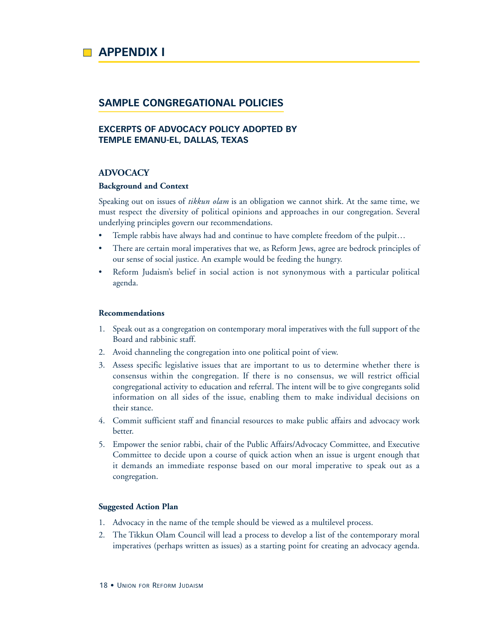

#### **SAMPLE CONGREGATIONAL POLICIES**

#### **EXCERPTS OF ADVOCACY POLICY ADOPTED BY TEMPLE EMANU-EL, DALLAS, TEXAS**

#### **ADVOCACY**

#### **Background and Context**

Speaking out on issues of *tikkun olam* is an obligation we cannot shirk. At the same time, we must respect the diversity of political opinions and approaches in our congregation. Several underlying principles govern our recommendations.

- Temple rabbis have always had and continue to have complete freedom of the pulpit...
- There are certain moral imperatives that we, as Reform Jews, agree are bedrock principles of our sense of social justice. An example would be feeding the hungry.
- Reform Judaism's belief in social action is not synonymous with a particular political agenda.

#### **Recommendations**

- 1. Speak out as a congregation on contemporary moral imperatives with the full support of the Board and rabbinic staff.
- 2. Avoid channeling the congregation into one political point of view.
- 3. Assess specific legislative issues that are important to us to determine whether there is consensus within the congregation. If there is no consensus, we will restrict official congregational activity to education and referral. The intent will be to give congregants solid information on all sides of the issue, enabling them to make individual decisions on their stance.
- 4. Commit sufficient staff and financial resources to make public affairs and advocacy work better.
- 5. Empower the senior rabbi, chair of the Public Affairs/Advocacy Committee, and Executive Committee to decide upon a course of quick action when an issue is urgent enough that it demands an immediate response based on our moral imperative to speak out as a congregation.

#### **Suggested Action Plan**

- 1. Advocacy in the name of the temple should be viewed as a multilevel process.
- 2. The Tikkun Olam Council will lead a process to develop a list of the contemporary moral imperatives (perhaps written as issues) as a starting point for creating an advocacy agenda.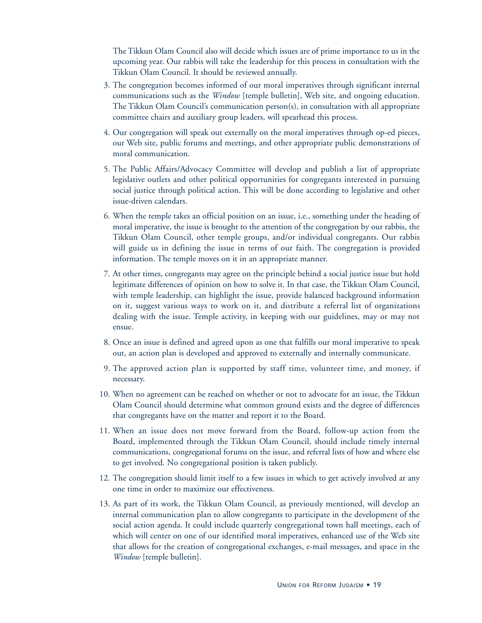The Tikkun Olam Council also will decide which issues are of prime importance to us in the upcoming year. Our rabbis will take the leadership for this process in consultation with the Tikkun Olam Council. It should be reviewed annually.

- 3. The congregation becomes informed of our moral imperatives through significant internal communications such as the *Window* [temple bulletin], Web site, and ongoing education. The Tikkun Olam Council's communication person(s), in consultation with all appropriate committee chairs and auxiliary group leaders, will spearhead this process.
- 4. Our congregation will speak out externally on the moral imperatives through op-ed pieces, our Web site, public forums and meetings, and other appropriate public demonstrations of moral communication.
- 5. The Public Affairs/Advocacy Committee will develop and publish a list of appropriate legislative outlets and other political opportunities for congregants interested in pursuing social justice through political action. This will be done according to legislative and other issue-driven calendars.
- 6. When the temple takes an official position on an issue, i.e., something under the heading of moral imperative, the issue is brought to the attention of the congregation by our rabbis, the Tikkun Olam Council, other temple groups, and/or individual congregants. Our rabbis will guide us in defining the issue in terms of our faith. The congregation is provided information. The temple moves on it in an appropriate manner.
- 7. At other times, congregants may agree on the principle behind a social justice issue but hold legitimate differences of opinion on how to solve it. In that case, the Tikkun Olam Council, with temple leadership, can highlight the issue, provide balanced background information on it, suggest various ways to work on it, and distribute a referral list of organizations dealing with the issue. Temple activity, in keeping with our guidelines, may or may not ensue.
- 8. Once an issue is defined and agreed upon as one that fulfills our moral imperative to speak out, an action plan is developed and approved to externally and internally communicate.
- 9 . The approved action plan is supported by staff time, volunteer time, and money, if necessary.
- 10. When no agreement can be reached on whether or not to advocate for an issue, the Tikkun Olam Council should determine what common ground exists and the degree of differences that congregants have on the matter and report it to the Board.
- 11. When an issue does not move forward from the Board, follow-up action from the Board, implemented through the Tikkun Olam Council, should include timely internal communications, congregational forums on the issue, and referral lists of how and where else to get involved. No congregational position is taken publicly.
- 12. The congregation should limit itself to a few issues in which to get actively involved at any one time in order to maximize our effectiveness.
- 13. As part of its work, the Tikkun Olam Council, as previously mentioned, will develop an internal communication plan to allow congregants to participate in the development of the social action agenda. It could include quarterly congregational town hall meetings, each of which will center on one of our identified moral imperatives, enhanced use of the Web site that allows for the creation of congregational exchanges, e-mail messages, and space in the *Window* [temple bulletin].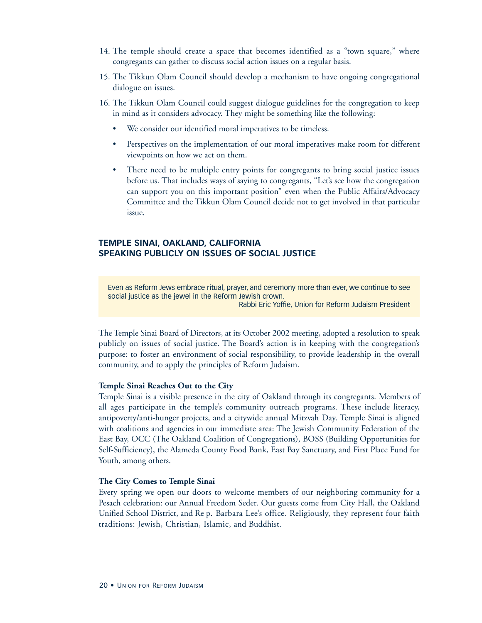- 14. The temple should create a space that becomes identified as a "town square," where congregants can gather to discuss social action issues on a regular basis.
- 15. The Tikkun Olam Council should develop a mechanism to have ongoing congregational dialogue on issues.
- 16. The Tikkun Olam Council could suggest dialogue guidelines for the congregation to keep in mind as it considers advocacy. They might be something like the following:
	- We consider our identified moral imperatives to be timeless.
	- Perspectives on the implementation of our moral imperatives make room for different viewpoints on how we act on them.
	- There need to be multiple entry points for congregants to bring social justice issues before us. That includes ways of saying to congregants, "Let's see how the congregation can support you on this important position" even when the Public Affairs/Advocacy Committee and the Tikkun Olam Council decide not to get involved in that particular issue.

#### **TEMPLE SINAI, OAKLAND, CALIFORNIA SPEAKING PUBLICLY ON ISSUES OF SOCIAL JUSTICE**

Even as Reform Jews embrace ritual, prayer, and ceremony more than ever, we continue to see social justice as the jewel in the Reform Jewish crown.

Rabbi Eric Yoffie, Union for Reform Judaism President

The Temple Sinai Board of Directors, at its October 2002 meeting, adopted a resolution to speak publicly on issues of social justice. The Board's action is in keeping with the congregation's purpose: to foster an environment of social responsibility, to provide leadership in the overall community, and to apply the principles of Reform Judaism.

#### **Temple Sinai Reaches Out to the City**

Temple Sinai is a visible presence in the city of Oakland through its congregants. Members of all ages participate in the temple's community outreach programs. These include literacy, antipoverty/anti-hunger projects, and a citywide annual Mitzvah Day. Temple Sinai is aligned with coalitions and agencies in our immediate area: The Jewish Community Federation of the East Bay, OCC (The Oakland Coalition of Congregations), BOSS (Building Opportunities for Self-Sufficiency), the Alameda County Food Bank, East Bay Sanctuary, and First Place Fund for Youth, among others.

#### **The City Comes to Temple Sinai**

Every spring we open our doors to welcome members of our neighboring community for a Pesach celebration: our Annual Freedom Seder. Our guests come from City Hall, the Oakland Unified School District, and Re p. Barbara Lee's office. Religiously, they represent four faith traditions: Jewish, Christian, Islamic, and Buddhist.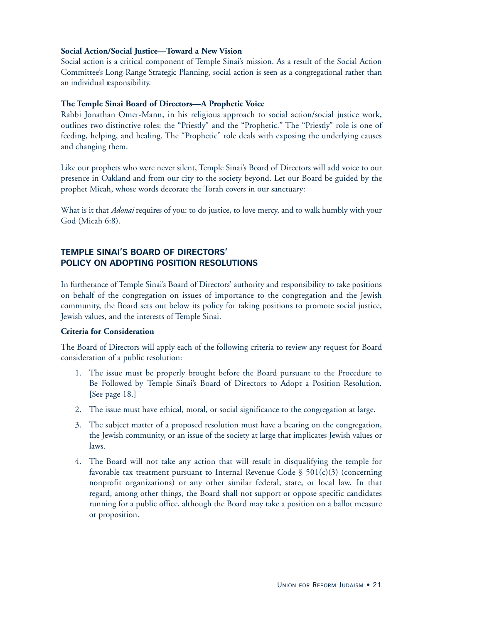#### **Social Action/Social Justice—Toward a New Vision**

Social action is a critical component of Temple Sinai's mission. As a result of the Social Action Committee's Long-Range Strategic Planning, social action is seen as a congregational rather than an individual responsibility.

#### **The Temple Sinai Board of Directors—A Prophetic Voice**

Rabbi Jonathan Omer-Mann, in his religious approach to social action/social justice work, outlines two distinctive roles: the "Priestly" and the "Prophetic." The "Priestly" role is one of feeding, helping, and healing. The "Prophetic" role deals with exposing the underlying causes and changing them.

Like our prophets who were never silent, Temple Sinai's Board of Directors will add voice to our presence in Oakland and from our city to the society beyond. Let our Board be guided by the prophet Micah, whose words decorate the Torah covers in our sanctuary:

What is it that *Adonai* requires of you: to do justice, to love mercy, and to walk humbly with your God (Micah 6:8).

#### **TEMPLE SINAI'S BOARD OF DIRECTORS' POLICY ON ADOPTING POSITION RESOLUTIONS**

In furtherance of Temple Sinai's Board of Directors' authority and responsibility to take positions on behalf of the congregation on issues of importance to the congregation and the Jewish community, the Board sets out below its policy for taking positions to promote social justice, Jewish values, and the interests of Temple Sinai.

#### **Criteria for Consideration**

The Board of Directors will apply each of the following criteria to review any request for Board consideration of a public resolution:

- 1. The issue must be properly brought before the Board pursuant to the Procedure to Be Followed by Temple Sinai's Board of Directors to Adopt a Position Resolution. [See page 18.]
- 2. The issue must have ethical, moral, or social significance to the congregation at large.
- 3. The subject matter of a proposed resolution must have a bearing on the congregation, the Jewish community, or an issue of the society at large that implicates Jewish values or laws.
- 4. The Board will not take any action that will result in disqualifying the temple for favorable tax treatment pursuant to Internal Revenue Code  $\S$  501(c)(3) (concerning nonprofit organizations) or any other similar federal, state, or local law. In that regard, among other things, the Board shall not support or oppose specific candidates running for a public office, although the Board may take a position on a ballot measure or proposition.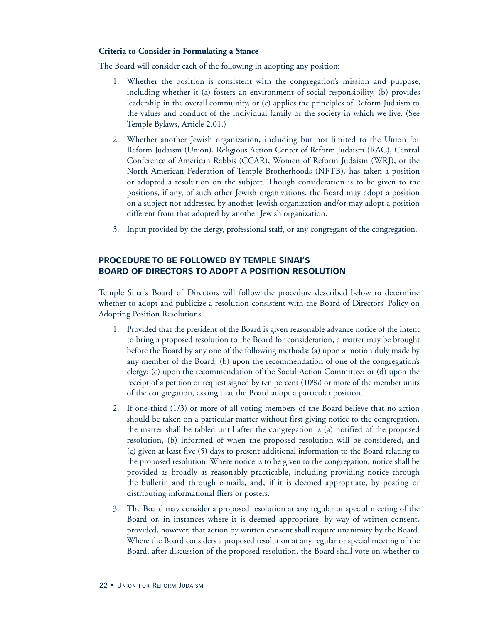#### **Criteria to Consider in Formulating a Stance**

The Board will consider each of the following in adopting any position:

- 1. Whether the position is consistent with the congregation's mission and purpose, including whether it (a) fosters an environment of social responsibility, (b) provides leadership in the overall community, or (c) applies the principles of Reform Judaism to the values and conduct of the individual family or the society in which we live. (See Temple Bylaws, Article 2.01.)
- 2. Whether another Jewish organization, including but not limited to the Union for Reform Judaism (Union), Religious Action Center of Reform Judaism (RAC), Central Conference of American Rabbis (CCAR), Women of Reform Judaism (WRJ), or the North American Federation of Temple Brotherhoods (NFTB), has taken a position or adopted a resolution on the subject. Though consideration is to be given to the positions, if any, of such other Jewish organizations, the Board may adopt a position on a subject not addressed by another Jewish organization and/or may adopt a position different from that adopted by another Jewish organization.
- 3. Input provided by the clergy, professional staff, or any congregant of the congregation.

#### **PROCEDURE TO BE FOLLOWED BY TEMPLE SINAI'S BOARD OF DIRECTORS TO ADOPT A POSITION RESOLUTION**

Temple Sinai's Board of Directors will follow the procedure described below to determine whether to adopt and publicize a resolution consistent with the Board of Directors' Policy on Adopting Position Resolutions.

- 1. Provided that the president of the Board is given reasonable advance notice of the intent to bring a proposed resolution to the Board for consideration, a matter may be brought before the Board by any one of the following methods: (a) upon a motion duly made by any member of the Board; (b) upon the recommendation of one of the congregation's clergy; (c) upon the recommendation of the Social Action Committee; or (d) upon the receipt of a petition or request signed by ten percent (10%) or more of the member units of the congregation, asking that the Board adopt a particular position.
- 2. If one-third (1/3) or more of all voting members of the Board believe that no action should be taken on a particular matter without first giving notice to the congregation, the matter shall be tabled until after the congregation is (a) notified of the proposed resolution, (b) informed of when the proposed resolution will be considered, and (c) given at least five (5) days to present additional information to the Board relating to the proposed resolution. Where notice is to be given to the congregation, notice shall be provided as broadly as reasonably practicable, including providing notice through the bulletin and through e-mails, and, if it is deemed appropriate, by posting or distributing informational fliers or posters.
- 3. The Board may consider a proposed resolution at any regular or special meeting of the Board or, in instances where it is deemed appropriate, by way of written consent, provided, however, that action by written consent shall require unanimity by the Board. Where the Board considers a proposed resolution at any regular or special meeting of the Board, after discussion of the proposed resolution, the Board shall vote on whether to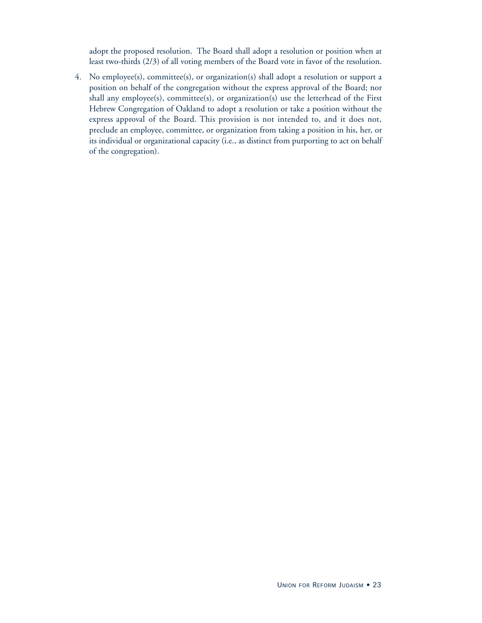adopt the proposed resolution. The Board shall adopt a resolution or position when at least two-thirds (2/3) of all voting members of the Board vote in favor of the resolution.

4. No employee(s), committee(s), or organization(s) shall adopt a resolution or support a position on behalf of the congregation without the express approval of the Board; nor shall any employee(s), committee(s), or organization(s) use the letterhead of the First Hebrew Congregation of Oakland to adopt a resolution or take a position without the express approval of the Board. This provision is not intended to, and it does not, preclude an employee, committee, or organization from taking a position in his, her, or its individual or organizational capacity (i.e., as distinct from purporting to act on behalf of the congregation).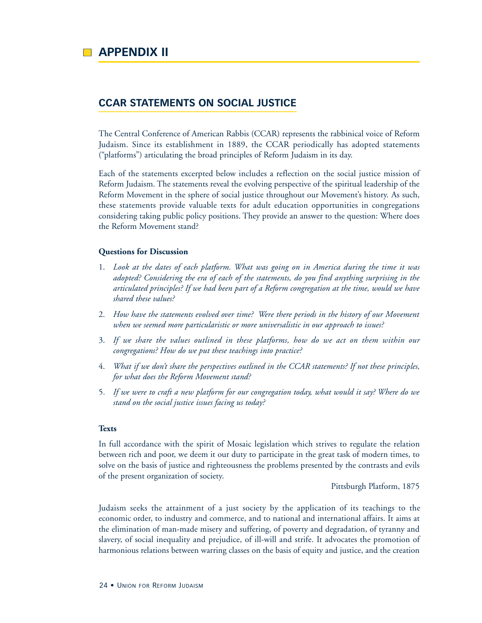#### **CCAR STATEMENTS ON SOCIAL JUSTICE**

The Central Conference of American Rabbis (CCAR) represents the rabbinical voice of Reform Judaism. Since its establishment in 1889, the CCAR periodically has adopted statements ("platforms") articulating the broad principles of Reform Judaism in its day.

Each of the statements excerpted below includes a reflection on the social justice mission of Reform Judaism. The statements reveal the evolving perspective of the spiritual leadership of the Reform Movement in the sphere of social justice throughout our Movement's history. As such, these statements provide valuable texts for adult education opportunities in congregations considering taking public policy positions. They provide an answer to the question: Where does the Reform Movement stand?

#### **Questions for Discussion**

- 1. *Look at the dates of each platform. What was going on in America during the time it was adopted? Considering the era of each of the statements, do you find anything surprising in the articulated principles? If we had been part of a Reform congregation at the time, would we have shared these values?*
- 2. *How have the statements evolved over time? Were there periods in the history of our Movement when we seemed more particularistic or more universalistic in our approach to issues?*
- 3. *If we share the values outlined in these platforms, how do we act on them within our congregations? How do we put these teachings into practice?*
- 4. *What if we don't share the perspectives outlined in the CCAR statements? If not these principles, for what does the Reform Movement stand?*
- 5*. If we were to craft a new platform for our congregation today, what would it say? Where do we stand on the social justice issues facing us today?*

#### **Texts**

In full accordance with the spirit of Mosaic legislation which strives to regulate the relation between rich and poor, we deem it our duty to participate in the great task of modern times, to solve on the basis of justice and righteousness the problems presented by the contrasts and evils of the present organization of society.

Pittsburgh Platform, 1875

Judaism seeks the attainment of a just society by the application of its teachings to the economic order, to industry and commerce, and to national and international affairs. It aims at the elimination of man-made misery and suffering, of poverty and degradation, of tyranny and slavery, of social inequality and prejudice, of ill-will and strife. It advocates the promotion of harmonious relations between warring classes on the basis of equity and justice, and the creation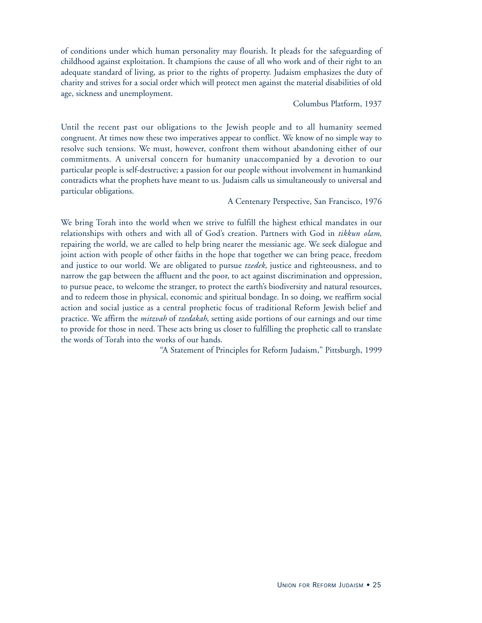of conditions under which human personality may flourish. It pleads for the safeguarding of childhood against exploitation. It champions the cause of all who work and of their right to an adequate standard of living, as prior to the rights of property. Judaism emphasizes the duty of charity and strives for a social order which will protect men against the material disabilities of old age, sickness and unemployment.

#### Columbus Platform, 1937

Until the recent past our obligations to the Jewish people and to all humanity seemed congruent. At times now these two imperatives appear to conflict. We know of no simple way to resolve such tensions. We must, however, confront them without abandoning either of our commitments. A universal concern for humanity unaccompanied by a devotion to our particular people is self-destructive; a passion for our people without involvement in humankind contradicts what the prophets have meant to us. Judaism calls us simultaneously to universal and particular obligations.

A Centenary Perspective, San Francisco, 1976

We bring Torah into the world when we strive to fulfill the highest ethical mandates in our relationships with others and with all of God's creation. Partners with God in *tikkun olam*, repairing the world, we are called to help bring nearer the messianic age. We seek dialogue and joint action with people of other faiths in the hope that together we can bring peace, freedom and justice to our world. We are obligated to pursue *tzedek*, justice and righteousness, and to narrow the gap between the affluent and the poor, to act against discrimination and oppression, to pursue peace, to welcome the stranger, to protect the earth's biodiversity and natural resources, and to redeem those in physical, economic and spiritual bondage. In so doing, we reaffirm social action and social justice as a central prophetic focus of traditional Reform Jewish belief and practice. We affirm the *mitzvah* of *tzedakah*, setting aside portions of our earnings and our time to provide for those in need. These acts bring us closer to fulfilling the prophetic call to translate the words of Torah into the works of our hands.

"A Statement of Principles for Reform Judaism," Pittsburgh, 1999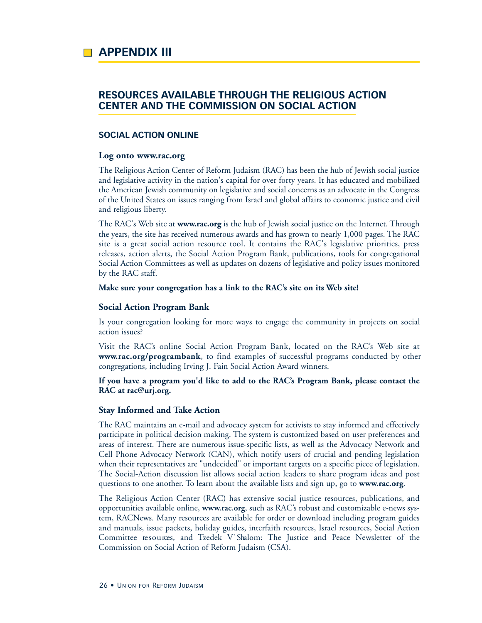#### **RESOURCES AVAILABLE THROUGH THE RELIGIOUS ACTION CENTER AND THE COMMISSION ON SOCIAL ACTION**

#### **SOCIAL ACTION ONLINE**

#### **Log onto www.rac.org**

The Religious Action Center of Reform Judaism (RAC) has been the hub of Jewish social justice and legislative activity in the nation's capital for over forty years. It has educated and mobilized the American Jewish community on legislative and social concerns as an advocate in the Congress of the United States on issues ranging from Israel and global affairs to economic justice and civil and religious liberty.

The RAC's Web site at **www.rac.org** is the hub of Jewish social justice on the Internet. Through the years, the site has received numerous awards and has grown to nearly 1,000 pages. The RAC site is a great social action resource tool. It contains the RAC's legislative priorities, press releases, action alerts, the Social Action Program Bank, publications, tools for congregational Social Action Committees as well as updates on dozens of legislative and policy issues monitored by the RAC staff.

#### **Make sure your congregation has a link to the RAC's site on its Web site!**

#### **Social Action Program Bank**

Is your congregation looking for more ways to engage the community in projects on social action issues?

Visit the RAC's online Social Action Program Bank, located on the RAC's Web site at **www.rac.org/programbank**, to find examples of successful programs conducted by other congregations, including Irving J. Fain Social Action Award winners.

#### **If you have a program you'd like to add to the RAC's Program Bank, please contact the RAC at rac@urj.org.**

#### **Stay Informed and Take Action**

The RAC maintains an e-mail and advocacy system for activists to stay informed and effectively participate in political decision making. The system is customized based on user preferences and areas of interest. There are numerous issue-specific lists, as well as the Advocacy Network and Cell Phone Advocacy Network (CAN), which notify users of crucial and pending legislation when their representatives are "undecided" or important targets on a specific piece of legislation. The Social-Action discussion list allows social action leaders to share program ideas and post questions to one another. To learn about the available lists and sign up, go to **www.rac.org**.

The Religious Action Center (RAC) has extensive social justice resources, publications, and opportunities available online, **www.rac.org**, such as RAC's robust and customizable e-news system, RACNews. Many resources are available for order or download including program guides and manuals, issue packets, holiday guides, interfaith resources, Israel resources, Social Action Committee resources, and Tzedek V Shalom: The Justice and Peace Newsletter of the Commission on Social Action of Reform Judaism (CSA).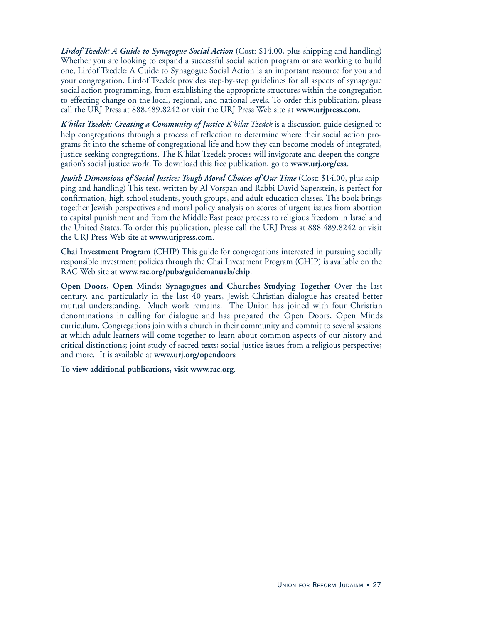*Lirdof Tzedek: A Guide to Synagogue Social Action* (Cost: \$14.00, plus shipping and handling) Whether you are looking to expand a successful social action program or are working to build one, Lirdof Tzedek: A Guide to Synagogue Social Action is an important resource for you and your congregation. Lirdof Tzedek provides step-by-step guidelines for all aspects of synagogue social action programming, from establishing the appropriate structures within the congregation to effecting change on the local, regional, and national levels. To order this publication, please call the URJ Press at 888.489.8242 or visit the URJ Press Web site at **www.urjpress.com**.

*K'hilat Tzedek: Creating a Community of Justice K'hilat Tzedek* is a discussion guide designed to help congregations through a process of reflection to determine where their social action programs fit into the scheme of congregational life and how they can become models of integrated, justice-seeking congregations. The K'hilat Tzedek process will invigorate and deepen the congregation's social justice work. To download this free publication, go to **www.urj.org/csa**.

*Jewish Dimensions of Social Justice: Tough Moral Choices of Our Time* (Cost: \$14.00, plus shipping and handling) This text, written by Al Vorspan and Rabbi David Saperstein, is perfect for confirmation, high school students, youth groups, and adult education classes. The book brings together Jewish perspectives and moral policy analysis on scores of urgent issues from abortion to capital punishment and from the Middle East peace process to religious freedom in Israel and the United States. To order this publication, please call the URJ Press at 888.489.8242 or visit the URJ Press Web site at **www.urjpress.com**.

**Chai Investment Program** (CHIP) This guide for congregations interested in pursuing socially responsible investment policies through the Chai Investment Program (CHIP) is available on the RAC Web site at **www.rac.org/pubs/guidemanuals/chip**.

**Open Doors, Open Minds: Synagogues and Churches Studying Together** Over the last century, and particularly in the last 40 years, Jewish-Christian dialogue has created better mutual understanding. Much work remains. The Union has joined with four Christian denominations in calling for dialogue and has prepared the Open Doors, Open Minds curriculum. Congregations join with a church in their community and commit to several sessions at which adult learners will come together to learn about common aspects of our history and critical distinctions; joint study of sacred texts; social justice issues from a religious perspective; and more. It is available at **www.urj.org/opendoors**

**To view additional publications, visit www.rac.org**.